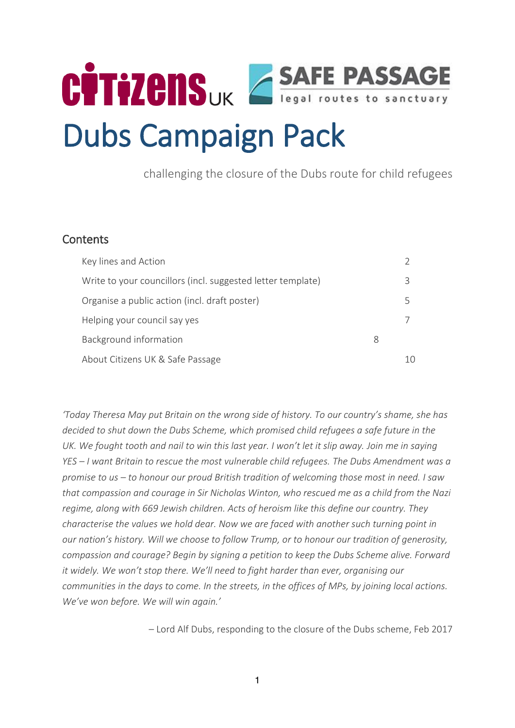

challenging the closure of the Dubs route for child refugees

# **Contents**

| Key lines and Action                                        |   |   |
|-------------------------------------------------------------|---|---|
| Write to your councillors (incl. suggested letter template) |   | Β |
| Organise a public action (incl. draft poster)               |   | ↳ |
| Helping your council say yes                                |   |   |
| Background information                                      | 8 |   |
| About Citizens UK & Safe Passage                            |   |   |

*'Today Theresa May put Britain on the wrong side of history. To our country's shame, she has decided to shut down the Dubs Scheme, which promised child refugees a safe future in the UK. We fought tooth and nail to win this last year. I won't let it slip away. Join me in saying YES – I want Britain to rescue the most vulnerable child refugees. The Dubs Amendment was a promise to us – to honour our proud British tradition of welcoming those most in need. I saw that compassion and courage in Sir Nicholas Winton, who rescued me as a child from the Nazi regime, along with 669 Jewish children. Acts of heroism like this define our country. They characterise the values we hold dear. Now we are faced with another such turning point in our nation's history. Will we choose to follow Trump, or to honour our tradition of generosity, compassion and courage? Begin by signing a petition to keep the Dubs Scheme alive. Forward it widely. We won't stop there. We'll need to fight harder than ever, organising our communities in the days to come. In the streets, in the offices of MPs, by joining local actions. We've won before. We will win again.'*

– Lord Alf Dubs, responding to the closure of the Dubs scheme, Feb 2017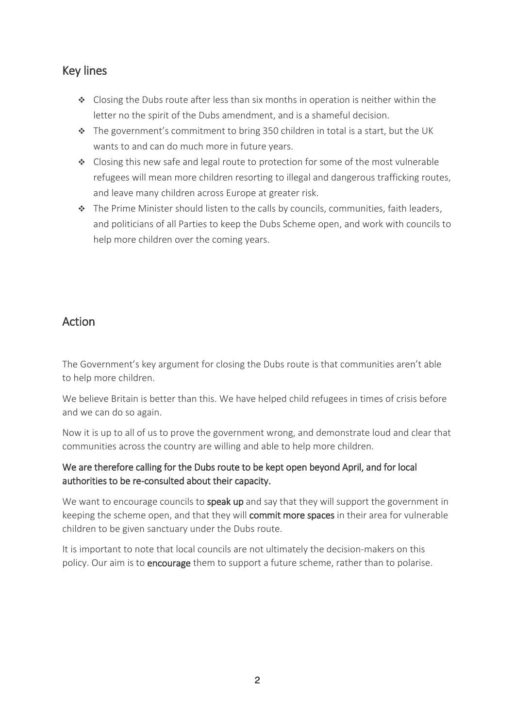# Key lines

- $\bullet$  Closing the Dubs route after less than six months in operation is neither within the letter no the spirit of the Dubs amendment, and is a shameful decision.
- $\cdot \cdot$  The government's commitment to bring 350 children in total is a start, but the UK wants to and can do much more in future years.
- $\bullet$  Closing this new safe and legal route to protection for some of the most vulnerable refugees will mean more children resorting to illegal and dangerous trafficking routes, and leave many children across Europe at greater risk.
- \* The Prime Minister should listen to the calls by councils, communities, faith leaders, and politicians of all Parties to keep the Dubs Scheme open, and work with councils to help more children over the coming years.

# Action

The Government's key argument for closing the Dubs route is that communities aren't able to help more children.

We believe Britain is better than this. We have helped child refugees in times of crisis before and we can do so again.

Now it is up to all of us to prove the government wrong, and demonstrate loud and clear that communities across the country are willing and able to help more children.

# We are therefore calling for the Dubs route to be kept open beyond April, and for local authorities to be re-consulted about their capacity.

We want to encourage councils to **speak up** and say that they will support the government in keeping the scheme open, and that they will commit more spaces in their area for vulnerable children to be given sanctuary under the Dubs route.

It is important to note that local councils are not ultimately the decision-makers on this policy. Our aim is to encourage them to support a future scheme, rather than to polarise.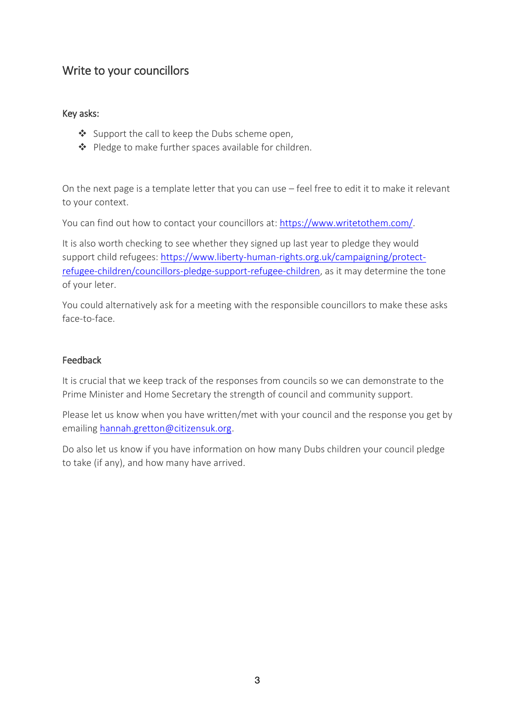# Write to your councillors

### Key asks:

- ❖ Support the call to keep the Dubs scheme open,
- ◆ Pledge to make further spaces available for children.

On the next page is a template letter that you can use – feel free to edit it to make it relevant to your context.

You can find out how to contact your councillors at: [https://www.writetothem.com/.](https://www.writetothem.com/)

It is also worth checking to see whether they signed up last year to pledge they would support child refugees: [https://www.liberty-human-rights.org.uk/campaigning/protect](https://www.liberty-human-rights.org.uk/campaigning/protect-refugee-children/councillors-pledge-support-refugee-children)[refugee-children/councillors-pledge-support-refugee-children,](https://www.liberty-human-rights.org.uk/campaigning/protect-refugee-children/councillors-pledge-support-refugee-children) as it may determine the tone of your leter.

You could alternatively ask for a meeting with the responsible councillors to make these asks face-to-face.

### Feedback

It is crucial that we keep track of the responses from councils so we can demonstrate to the Prime Minister and Home Secretary the strength of council and community support.

Please let us know when you have written/met with your council and the response you get by emailing [hannah.gretton@citizensuk.org.](mailto:hannah.gretton@citizensuk.org)

Do also let us know if you have information on how many Dubs children your council pledge to take (if any), and how many have arrived.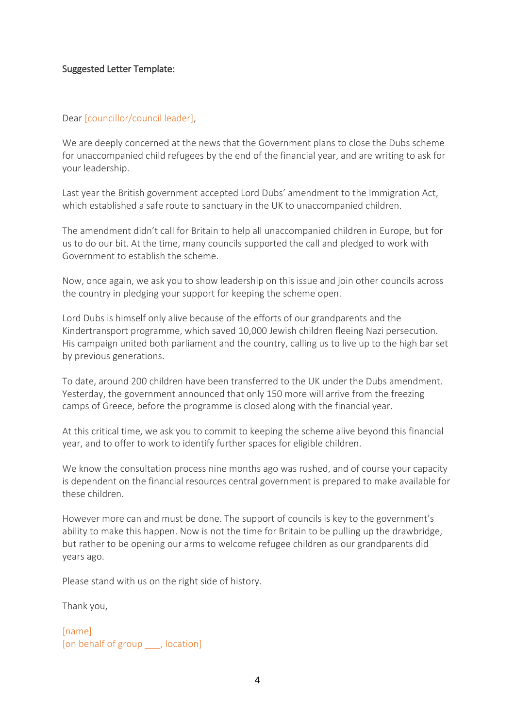### Suggested Letter Template:

### Dear [councillor/council leader],

We are deeply concerned at the news that the Government plans to close the Dubs scheme for unaccompanied child refugees by the end of the financial year, and are writing to ask for your leadership.

Last year the British government accepted Lord Dubs' amendment to the Immigration Act, which established a safe route to sanctuary in the UK to unaccompanied children.

The amendment didn't call for Britain to help all unaccompanied children in Europe, but for us to do our bit. At the time, many councils supported the call and pledged to work with Government to establish the scheme.

Now, once again, we ask you to show leadership on this issue and join other councils across the country in pledging your support for keeping the scheme open.

Lord Dubs is himself only alive because of the efforts of our grandparents and the Kindertransport programme, which saved 10,000 Jewish children fleeing Nazi persecution. His campaign united both parliament and the country, calling us to live up to the high bar set by previous generations.

To date, around 200 children have been transferred to the UK under the Dubs amendment. Yesterday, the government announced that only 150 more will arrive from the freezing camps of Greece, before the programme is closed along with the financial year.

At this critical time, we ask you to commit to keeping the scheme alive beyond this financial year, and to offer to work to identify further spaces for eligible children.

We know the consultation process nine months ago was rushed, and of course your capacity is dependent on the financial resources central government is prepared to make available for these children.

However more can and must be done. The support of councils is key to the government's ability to make this happen. Now is not the time for Britain to be pulling up the drawbridge, but rather to be opening our arms to welcome refugee children as our grandparents did years ago.

Please stand with us on the right side of history.

Thank you,

[name] [on behalf of group \_\_\_, location]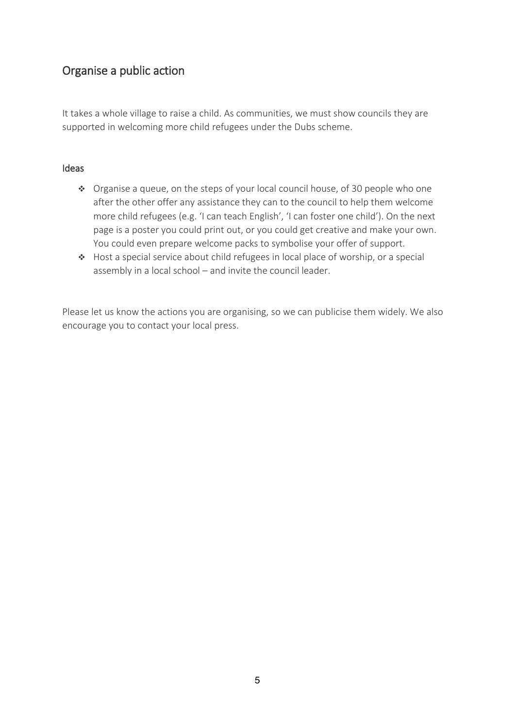# Organise a public action

It takes a whole village to raise a child. As communities, we must show councils they are supported in welcoming more child refugees under the Dubs scheme.

### Ideas

- $\cdot \cdot$  Organise a queue, on the steps of your local council house, of 30 people who one after the other offer any assistance they can to the council to help them welcome more child refugees (e.g. 'I can teach English', 'I can foster one child'). On the next page is a poster you could print out, or you could get creative and make your own. You could even prepare welcome packs to symbolise your offer of support.
- Host a special service about child refugees in local place of worship, or a special assembly in a local school – and invite the council leader.

Please let us know the actions you are organising, so we can publicise them widely. We also encourage you to contact your local press.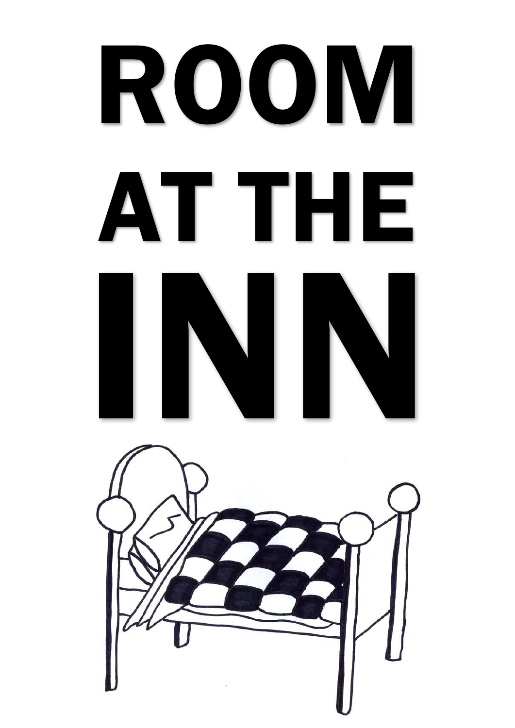# ROOM AT THE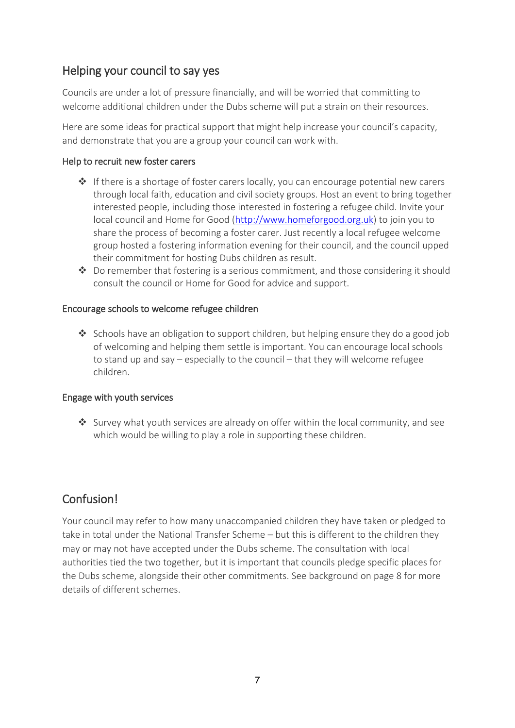# Helping your council to say yes

Councils are under a lot of pressure financially, and will be worried that committing to welcome additional children under the Dubs scheme will put a strain on their resources.

Here are some ideas for practical support that might help increase your council's capacity, and demonstrate that you are a group your council can work with.

### Help to recruit new foster carers

- $\cdot \cdot$  If there is a shortage of foster carers locally, you can encourage potential new carers through local faith, education and civil society groups. Host an event to bring together interested people, including those interested in fostering a refugee child. Invite your local council and Home for Good [\(http://www.homeforgood.org.uk\)](http://www.homeforgood.org.uk/) to join you to share the process of becoming a foster carer. Just recently a local refugee welcome group hosted a fostering information evening for their council, and the council upped their commitment for hosting Dubs children as result.
- $\clubsuit$  Do remember that fostering is a serious commitment, and those considering it should consult the council or Home for Good for advice and support.

### Encourage schools to welcome refugee children

 $\triangleq$  Schools have an obligation to support children, but helping ensure they do a good job of welcoming and helping them settle is important. You can encourage local schools to stand up and say – especially to the council – that they will welcome refugee children.

### Engage with youth services

 $\clubsuit$  Survey what youth services are already on offer within the local community, and see which would be willing to play a role in supporting these children.

# Confusion!

Your council may refer to how many unaccompanied children they have taken or pledged to take in total under the National Transfer Scheme – but this is different to the children they may or may not have accepted under the Dubs scheme. The consultation with local authorities tied the two together, but it is important that councils pledge specific places for the Dubs scheme, alongside their other commitments. See background on page 8 for more details of different schemes.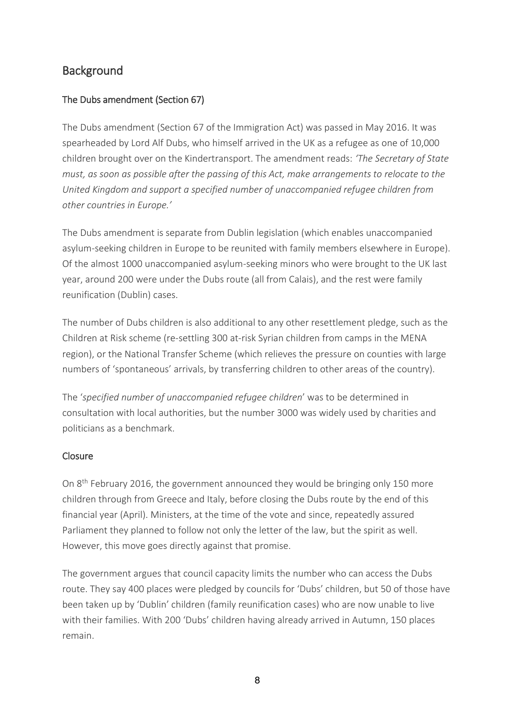# **Background**

# The Dubs amendment (Section 67)

The Dubs amendment (Section 67 of the Immigration Act) was passed in May 2016. It was spearheaded by Lord Alf Dubs, who himself arrived in the UK as a refugee as one of 10,000 children brought over on the Kindertransport. The amendment reads: *'The Secretary of State must, as soon as possible after the passing of this Act, make arrangements to relocate to the United Kingdom and support a specified number of unaccompanied refugee children from other countries in Europe.'*

The Dubs amendment is separate from Dublin legislation (which enables unaccompanied asylum-seeking children in Europe to be reunited with family members elsewhere in Europe). Of the almost 1000 unaccompanied asylum-seeking minors who were brought to the UK last year, around 200 were under the Dubs route (all from Calais), and the rest were family reunification (Dublin) cases.

The number of Dubs children is also additional to any other resettlement pledge, such as the Children at Risk scheme (re-settling 300 at-risk Syrian children from camps in the MENA region), or the National Transfer Scheme (which relieves the pressure on counties with large numbers of 'spontaneous' arrivals, by transferring children to other areas of the country).

The '*specified number of unaccompanied refugee children*' was to be determined in consultation with local authorities, but the number 3000 was widely used by charities and politicians as a benchmark.

## **Closure**

On 8<sup>th</sup> February 2016, the government announced they would be bringing only 150 more children through from Greece and Italy, before closing the Dubs route by the end of this financial year (April). Ministers, at the time of the vote and since, repeatedly assured Parliament they planned to follow not only the letter of the law, but the spirit as well. However, this move goes directly against that promise.

The government argues that council capacity limits the number who can access the Dubs route. They say 400 places were pledged by councils for 'Dubs' children, but 50 of those have been taken up by 'Dublin' children (family reunification cases) who are now unable to live with their families. With 200 'Dubs' children having already arrived in Autumn, 150 places remain.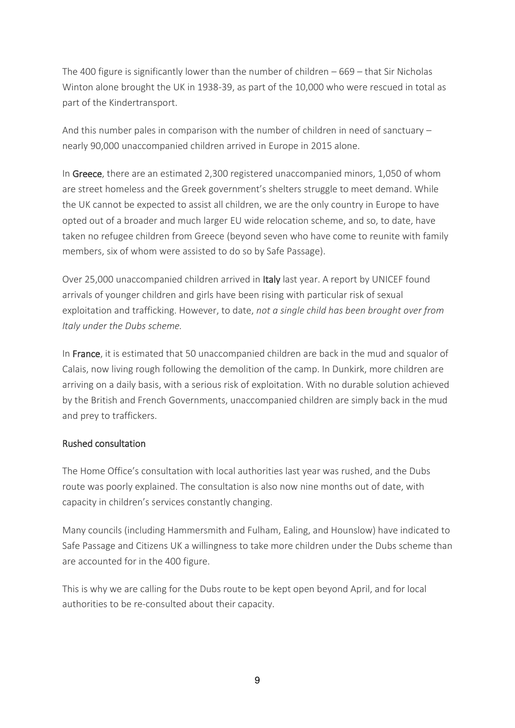The 400 figure is significantly lower than the number of children – 669 – that Sir Nicholas Winton alone brought the UK in 1938-39, as part of the 10,000 who were rescued in total as part of the Kindertransport.

And this number pales in comparison with the number of children in need of sanctuary – nearly 90,000 unaccompanied children arrived in Europe in 2015 alone.

In Greece, there are an estimated 2,300 registered unaccompanied minors, 1,050 of whom are street homeless and the Greek government's shelters struggle to meet demand. While the UK cannot be expected to assist all children, we are the only country in Europe to have opted out of a broader and much larger EU wide relocation scheme, and so, to date, have taken no refugee children from Greece (beyond seven who have come to reunite with family members, six of whom were assisted to do so by Safe Passage).

Over 25,000 unaccompanied children arrived in Italy last year. A report by UNICEF found arrivals of younger children and girls have been rising with particular risk of sexual exploitation and trafficking. However, to date, *not a single child has been brought over from Italy under the Dubs scheme.*

In France, it is estimated that 50 unaccompanied children are back in the mud and squalor of Calais, now living rough following the demolition of the camp. In Dunkirk, more children are arriving on a daily basis, with a serious risk of exploitation. With no durable solution achieved by the British and French Governments, unaccompanied children are simply back in the mud and prey to traffickers.

## Rushed consultation

The Home Office's consultation with local authorities last year was rushed, and the Dubs route was poorly explained. The consultation is also now nine months out of date, with capacity in children's services constantly changing.

Many councils (including Hammersmith and Fulham, Ealing, and Hounslow) have indicated to Safe Passage and Citizens UK a willingness to take more children under the Dubs scheme than are accounted for in the 400 figure.

This is why we are calling for the Dubs route to be kept open beyond April, and for local authorities to be re-consulted about their capacity.